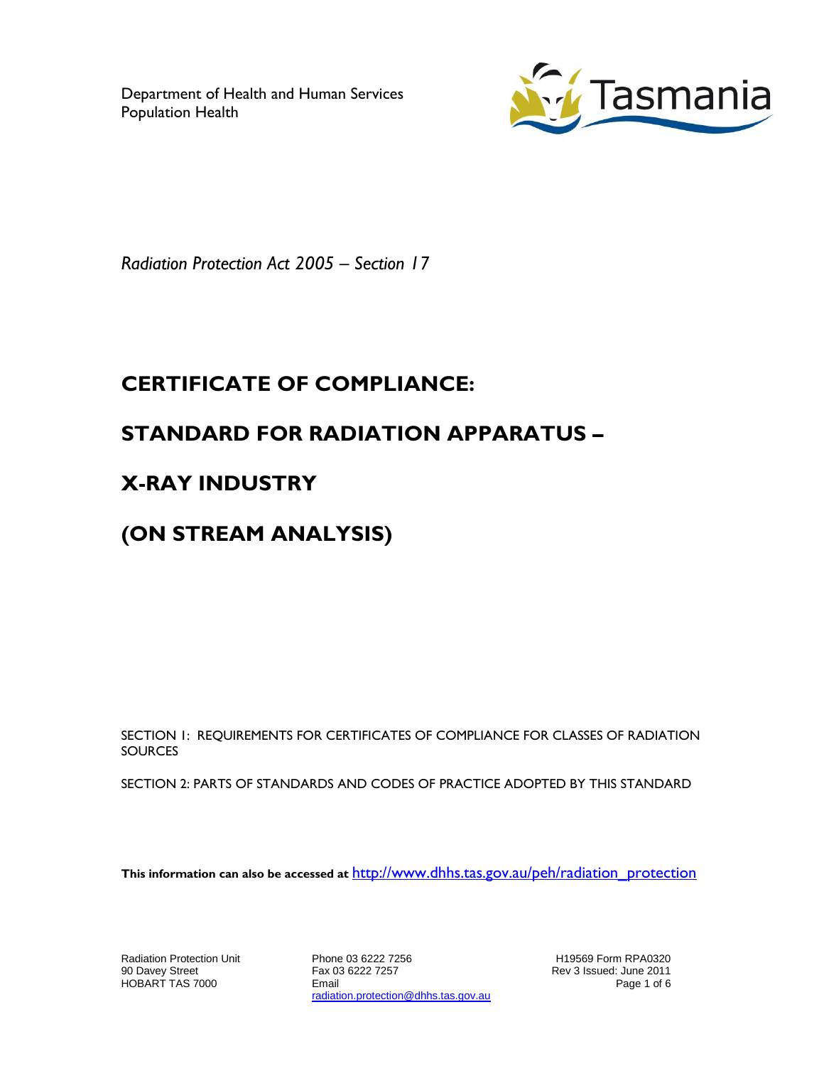Department of Health and Human Services Population Health



*Radiation Protection Act 2005 – Section 17*

## **CERTIFICATE OF COMPLIANCE:**

## **STANDARD FOR RADIATION APPARATUS –**

## **X-RAY INDUSTRY**

# **(ON STREAM ANALYSIS)**

SECTION 1: REQUIREMENTS FOR CERTIFICATES OF COMPLIANCE FOR CLASSES OF RADIATION **SOURCES** 

SECTION 2: PARTS OF STANDARDS AND CODES OF PRACTICE ADOPTED BY THIS STANDARD

**This information can also be accessed at** [http://www.dhhs.tas.gov.au/peh/radiation\\_protection](http://www.dhhs.tas.gov.au/peh/radiation_protection)

Radiation Protection Unit 90 Davey Street HOBART TAS 7000

Phone 03 6222 7256 Fax 03 6222 7257 Email radiation.protection@dhhs.tas.gov.au

H19569 Form RPA0320 Rev 3 Issued: June 2011 Page 1 of 6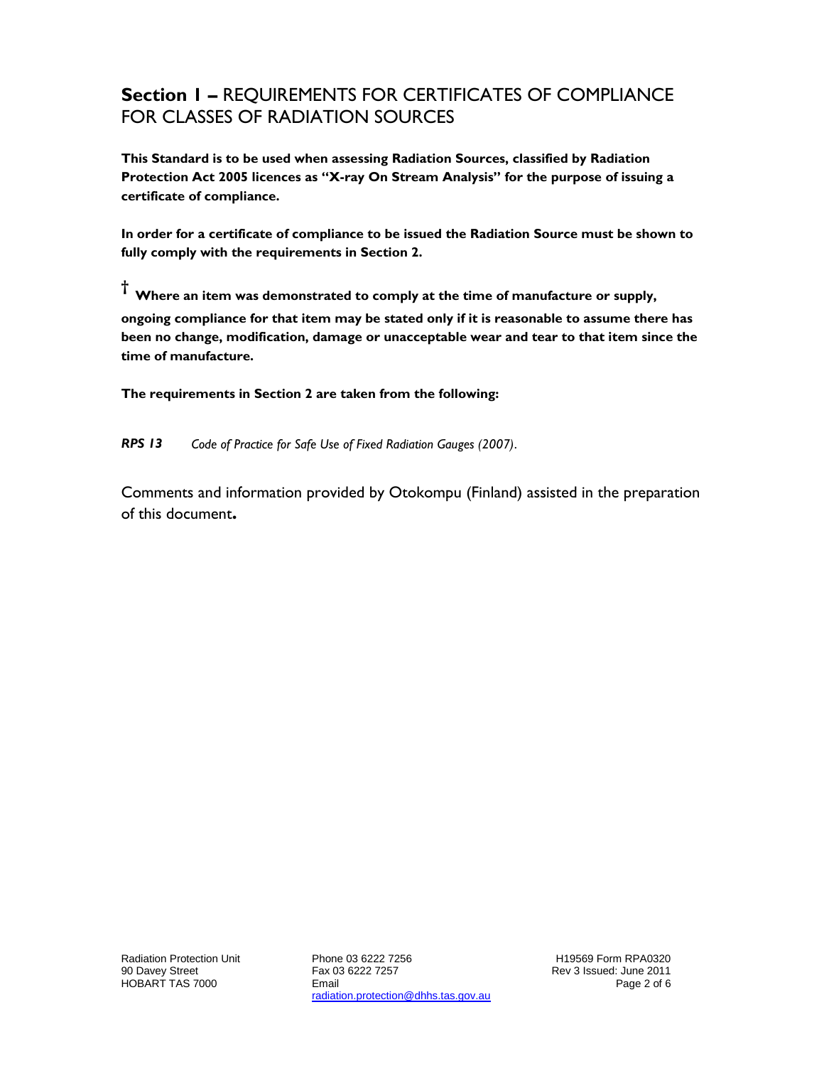### **Section 1 –** REQUIREMENTS FOR CERTIFICATES OF COMPLIANCE FOR CLASSES OF RADIATION SOURCES

**This Standard is to be used when assessing Radiation Sources, classified by Radiation Protection Act 2005 licences as "X-ray On Stream Analysis" for the purpose of issuing a certificate of compliance.**

**In order for a certificate of compliance to be issued the Radiation Source must be shown to fully comply with the requirements in Section 2.**

**† Where an item was demonstrated to comply at the time of manufacture or supply, ongoing compliance for that item may be stated only if it is reasonable to assume there has been no change, modification, damage or unacceptable wear and tear to that item since the time of manufacture.**

**The requirements in Section 2 are taken from the following:**

*RPS 13 Code of Practice for Safe Use of Fixed Radiation Gauges (2007)*.

Comments and information provided by Otokompu (Finland) assisted in the preparation of this document**.**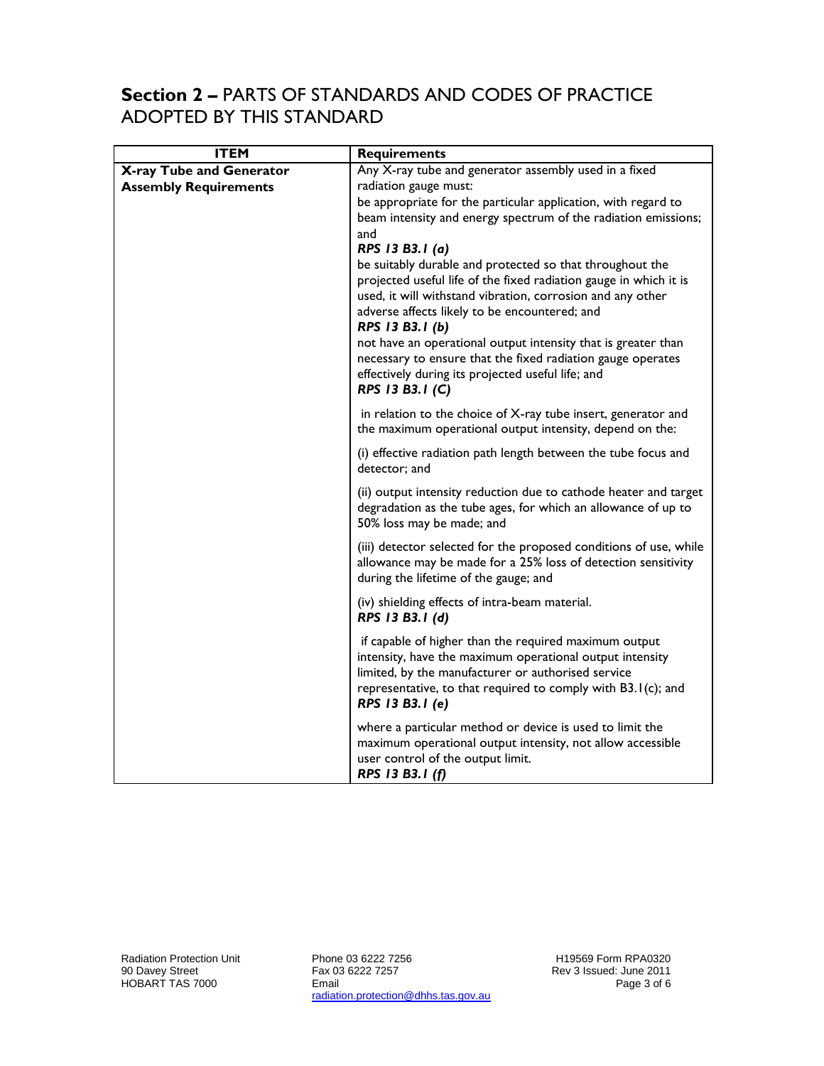#### **Section 2 –** PARTS OF STANDARDS AND CODES OF PRACTICE ADOPTED BY THIS STANDARD

| <b>ITEM</b>                  | <b>Requirements</b>                                                                                                                                                                                                                                                                                                                                                                                                                                                                        |
|------------------------------|--------------------------------------------------------------------------------------------------------------------------------------------------------------------------------------------------------------------------------------------------------------------------------------------------------------------------------------------------------------------------------------------------------------------------------------------------------------------------------------------|
| X-ray Tube and Generator     | Any X-ray tube and generator assembly used in a fixed                                                                                                                                                                                                                                                                                                                                                                                                                                      |
| <b>Assembly Requirements</b> | radiation gauge must:                                                                                                                                                                                                                                                                                                                                                                                                                                                                      |
|                              | be appropriate for the particular application, with regard to<br>beam intensity and energy spectrum of the radiation emissions;<br>and                                                                                                                                                                                                                                                                                                                                                     |
|                              | RPS 13 B3.1 (a)<br>be suitably durable and protected so that throughout the<br>projected useful life of the fixed radiation gauge in which it is<br>used, it will withstand vibration, corrosion and any other<br>adverse affects likely to be encountered; and<br>RPS 13 B3.1 (b)<br>not have an operational output intensity that is greater than<br>necessary to ensure that the fixed radiation gauge operates<br>effectively during its projected useful life; and<br>RPS 13 B3.1 (C) |
|                              | in relation to the choice of X-ray tube insert, generator and<br>the maximum operational output intensity, depend on the:                                                                                                                                                                                                                                                                                                                                                                  |
|                              | (i) effective radiation path length between the tube focus and<br>detector; and                                                                                                                                                                                                                                                                                                                                                                                                            |
|                              | (ii) output intensity reduction due to cathode heater and target<br>degradation as the tube ages, for which an allowance of up to<br>50% loss may be made; and                                                                                                                                                                                                                                                                                                                             |
|                              | (iii) detector selected for the proposed conditions of use, while<br>allowance may be made for a 25% loss of detection sensitivity<br>during the lifetime of the gauge; and                                                                                                                                                                                                                                                                                                                |
|                              | (iv) shielding effects of intra-beam material.<br>RPS 13 B3.1 (d)                                                                                                                                                                                                                                                                                                                                                                                                                          |
|                              | if capable of higher than the required maximum output<br>intensity, have the maximum operational output intensity<br>limited, by the manufacturer or authorised service<br>representative, to that required to comply with B3.1(c); and<br>RPS 13 B3.1 (e)                                                                                                                                                                                                                                 |
|                              | where a particular method or device is used to limit the<br>maximum operational output intensity, not allow accessible<br>user control of the output limit.<br>RPS 13 B3.1 (f)                                                                                                                                                                                                                                                                                                             |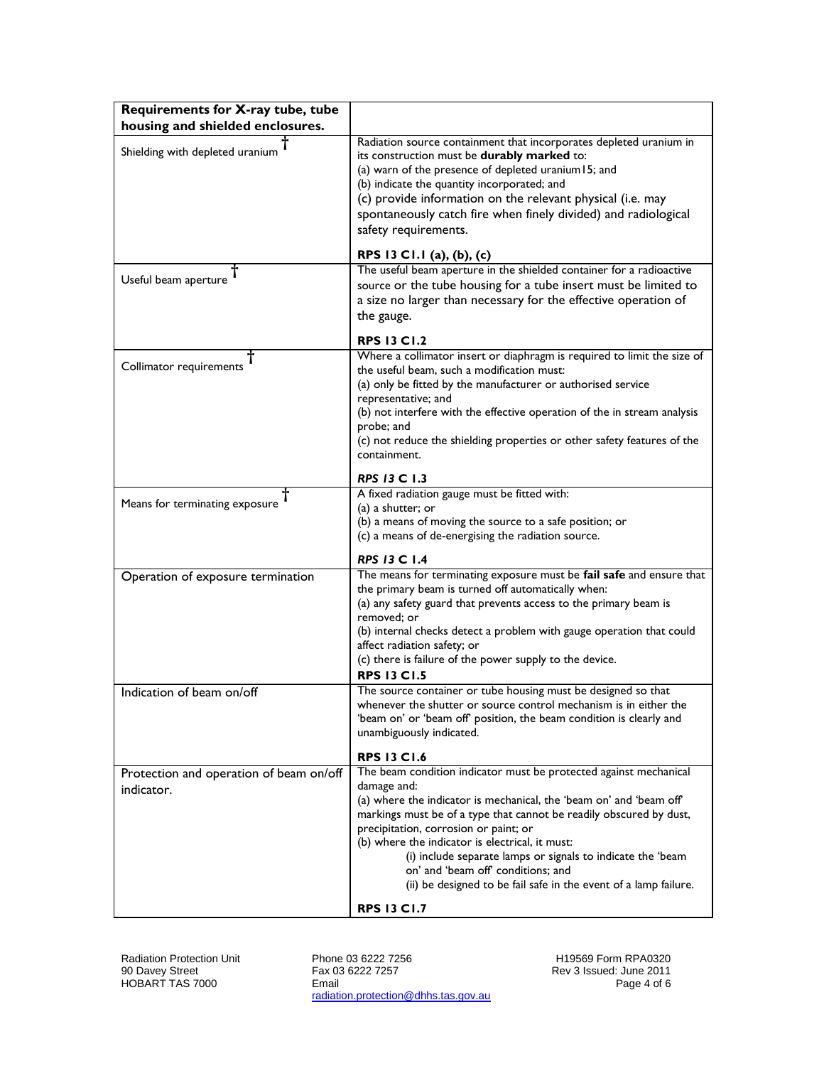| Requirements for X-ray tube, tube                     |                                                                                                                                                                                                                                                                                                                                                                                                                                                                                                                           |
|-------------------------------------------------------|---------------------------------------------------------------------------------------------------------------------------------------------------------------------------------------------------------------------------------------------------------------------------------------------------------------------------------------------------------------------------------------------------------------------------------------------------------------------------------------------------------------------------|
| housing and shielded enclosures.                      |                                                                                                                                                                                                                                                                                                                                                                                                                                                                                                                           |
| Shielding with depleted uranium                       | Radiation source containment that incorporates depleted uranium in<br>its construction must be durably marked to:<br>(a) warn of the presence of depleted uranium 15; and<br>(b) indicate the quantity incorporated; and<br>(c) provide information on the relevant physical (i.e. may<br>spontaneously catch fire when finely divided) and radiological<br>safety requirements.                                                                                                                                          |
|                                                       | RPS 13 C1.1 (a), (b), (c)                                                                                                                                                                                                                                                                                                                                                                                                                                                                                                 |
| Useful beam aperture                                  | The useful beam aperture in the shielded container for a radioactive<br>source or the tube housing for a tube insert must be limited to<br>a size no larger than necessary for the effective operation of<br>the gauge.                                                                                                                                                                                                                                                                                                   |
|                                                       | <b>RPS 13 C1.2</b>                                                                                                                                                                                                                                                                                                                                                                                                                                                                                                        |
| Collimator requirements                               | Where a collimator insert or diaphragm is required to limit the size of<br>the useful beam, such a modification must:<br>(a) only be fitted by the manufacturer or authorised service<br>representative; and<br>(b) not interfere with the effective operation of the in stream analysis<br>probe; and<br>(c) not reduce the shielding properties or other safety features of the<br>containment.                                                                                                                         |
|                                                       | <b>RPS 13 C 1.3</b>                                                                                                                                                                                                                                                                                                                                                                                                                                                                                                       |
| Means for terminating exposure                        | A fixed radiation gauge must be fitted with:<br>(a) a shutter; or<br>(b) a means of moving the source to a safe position; or<br>(c) a means of de-energising the radiation source.                                                                                                                                                                                                                                                                                                                                        |
|                                                       | <b>RPS 13 C 1.4</b>                                                                                                                                                                                                                                                                                                                                                                                                                                                                                                       |
| Operation of exposure termination                     | The means for terminating exposure must be fail safe and ensure that<br>the primary beam is turned off automatically when:<br>(a) any safety guard that prevents access to the primary beam is<br>removed; or<br>(b) internal checks detect a problem with gauge operation that could<br>affect radiation safety; or<br>(c) there is failure of the power supply to the device.<br><b>RPS 13 C1.5</b>                                                                                                                     |
| Indication of beam on/off                             | The source container or tube housing must be designed so that<br>whenever the shutter or source control mechanism is in either the<br>'beam on' or 'beam off' position, the beam condition is clearly and<br>unambiguously indicated.<br><b>RPS 13 C1.6</b>                                                                                                                                                                                                                                                               |
| Protection and operation of beam on/off<br>indicator. | The beam condition indicator must be protected against mechanical<br>damage and:<br>(a) where the indicator is mechanical, the 'beam on' and 'beam off'<br>markings must be of a type that cannot be readily obscured by dust,<br>precipitation, corrosion or paint; or<br>(b) where the indicator is electrical, it must:<br>(i) include separate lamps or signals to indicate the 'beam<br>on' and 'beam off' conditions; and<br>(ii) be designed to be fail safe in the event of a lamp failure.<br><b>RPS 13 C1.7</b> |

Radiation Protection Unit 90 Davey Street HOBART TAS 7000

Phone 03 6222 7256 Fax 03 6222 7257 Email radiation.protection@dhhs.tas.gov.au

H19569 Form RPA0320 Rev 3 Issued: June 2011 Page 4 of 6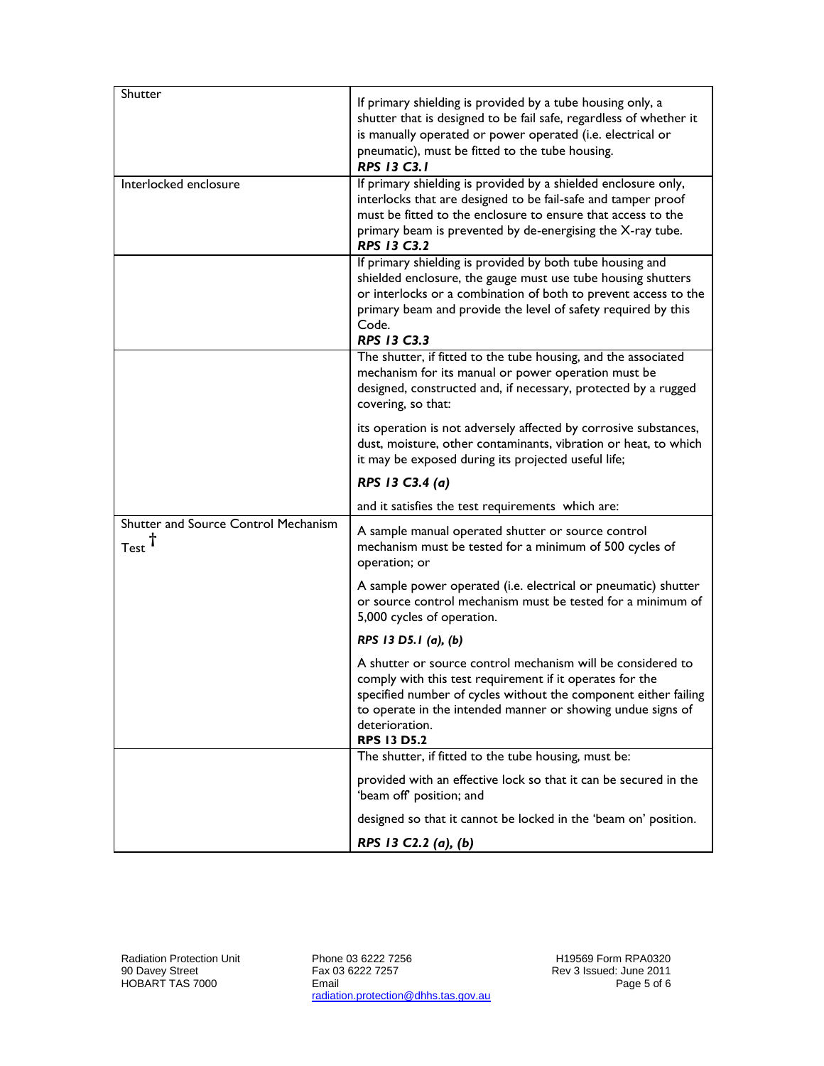| Shutter                                                     | If primary shielding is provided by a tube housing only, a<br>shutter that is designed to be fail safe, regardless of whether it<br>is manually operated or power operated (i.e. electrical or<br>pneumatic), must be fitted to the tube housing.<br><b>RPS 13 C3.1</b>                           |
|-------------------------------------------------------------|---------------------------------------------------------------------------------------------------------------------------------------------------------------------------------------------------------------------------------------------------------------------------------------------------|
| Interlocked enclosure                                       | If primary shielding is provided by a shielded enclosure only,<br>interlocks that are designed to be fail-safe and tamper proof<br>must be fitted to the enclosure to ensure that access to the<br>primary beam is prevented by de-energising the X-ray tube.<br><b>RPS 13 C3.2</b>               |
|                                                             | If primary shielding is provided by both tube housing and<br>shielded enclosure, the gauge must use tube housing shutters<br>or interlocks or a combination of both to prevent access to the<br>primary beam and provide the level of safety required by this<br>Code.<br>RPS 13 C3.3             |
|                                                             | The shutter, if fitted to the tube housing, and the associated<br>mechanism for its manual or power operation must be<br>designed, constructed and, if necessary, protected by a rugged<br>covering, so that:                                                                                     |
|                                                             | its operation is not adversely affected by corrosive substances,<br>dust, moisture, other contaminants, vibration or heat, to which<br>it may be exposed during its projected useful life;                                                                                                        |
|                                                             |                                                                                                                                                                                                                                                                                                   |
|                                                             | RPS 13 C3.4 (a)                                                                                                                                                                                                                                                                                   |
|                                                             | and it satisfies the test requirements which are:                                                                                                                                                                                                                                                 |
| Shutter and Source Control Mechanism<br>$Test$ <sup>T</sup> | A sample manual operated shutter or source control<br>mechanism must be tested for a minimum of 500 cycles of<br>operation; or                                                                                                                                                                    |
|                                                             | A sample power operated (i.e. electrical or pneumatic) shutter<br>or source control mechanism must be tested for a minimum of<br>5,000 cycles of operation.                                                                                                                                       |
|                                                             | RPS 13 D5.1 (a), (b)                                                                                                                                                                                                                                                                              |
|                                                             | A shutter or source control mechanism will be considered to<br>comply with this test requirement if it operates for the<br>specified number of cycles without the component either failing<br>to operate in the intended manner or showing undue signs of<br>deterioration.<br><b>RPS 13 D5.2</b> |
|                                                             | The shutter, if fitted to the tube housing, must be:                                                                                                                                                                                                                                              |
|                                                             | provided with an effective lock so that it can be secured in the<br>'beam off' position; and                                                                                                                                                                                                      |
|                                                             | designed so that it cannot be locked in the 'beam on' position.                                                                                                                                                                                                                                   |